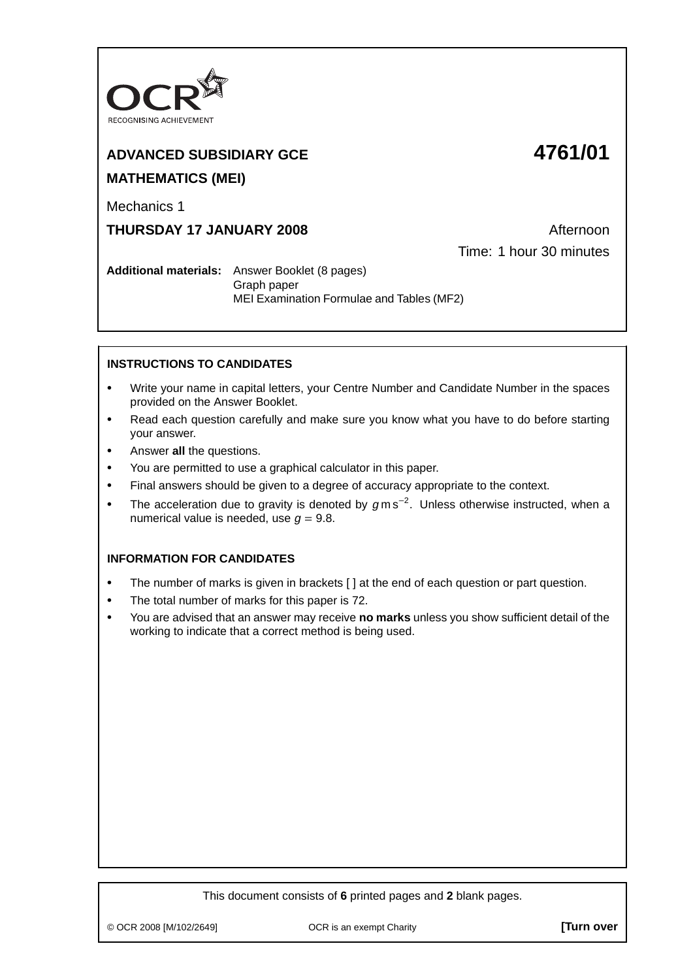

# **ADVANCED SUBSIDIARY GCE 4761/01 MATHEMATICS (MEI)**

Mechanics 1

# **THURSDAY 17 JANUARY 2008** Afternoon

Time: 1 hour 30 minutes

**Additional materials:** Answer Booklet (8 pages) Graph paper MEI Examination Formulae and Tables (MF2)

# **INSTRUCTIONS TO CANDIDATES**

- **•** Write your name in capital letters, your Centre Number and Candidate Number in the spaces provided on the Answer Booklet.
- **•** Read each question carefully and make sure you know what you have to do before starting your answer.
- **•** Answer **all** the questions.
- **•** You are permitted to use a graphical calculator in this paper.
- **•** Final answers should be given to a degree of accuracy appropriate to the context.
- **•** The acceleration due to gravity is denoted by <sup>g</sup> m s−<sup>2</sup> . Unless otherwise instructed, when a numerical value is needed, use  $q = 9.8$ .

# **INFORMATION FOR CANDIDATES**

- **•** The number of marks is given in brackets [ ] at the end of each question or part question.
- **•** The total number of marks for this paper is 72.
- **•** You are advised that an answer may receive **no marks** unless you show sufficient detail of the working to indicate that a correct method is being used.

### This document consists of **6** printed pages and **2** blank pages.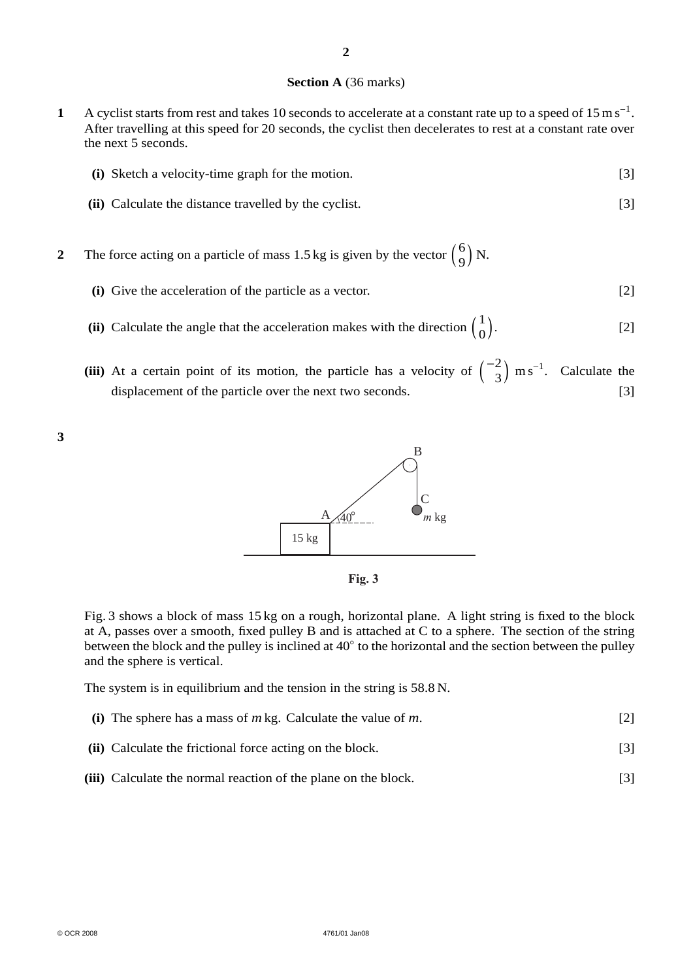#### **Section A** (36 marks)

- **1** A cyclist starts from rest and takes 10 seconds to accelerate at a constant rate up to a speed of 15 m s<sup>−</sup><sup>1</sup> . After travelling at this speed for 20 seconds, the cyclist then decelerates to rest at a constant rate over the next 5 seconds.
	- **(i)** Sketch a velocity-time graph for the motion. [3]
	- **(ii)** Calculate the distance travelled by the cyclist. [3]
- **2** The force acting on a particle of mass 1.5 kg is given by the vector  $\begin{pmatrix} 6 \\ 9 \end{pmatrix}$  N.
	- **(i)** Give the acceleration of the particle as a vector. [2]
	- (ii) Calculate the angle that the acceleration makes with the direction  $\begin{pmatrix} 1 \\ 0 \end{pmatrix}$ . [2]
	- (iii) At a certain point of its motion, the particle has a velocity of  $\begin{pmatrix} -2 \\ 3 \end{pmatrix}$  m s<sup>-1</sup> . Calculate the displacement of the particle over the next two seconds. [3]





Fig. 3 shows a block of mass 15 kg on a rough, horizontal plane. A light string is fixed to the block at A, passes over a smooth, fixed pulley B and is attached at C to a sphere. The section of the string between the block and the pulley is inclined at 40◦ to the horizontal and the section between the pulley and the sphere is vertical.

The system is in equilibrium and the tension in the string is 58.8 N.

- **(i)** The sphere has a mass of  $m$  kg. Calculate the value of  $m$ . [2]
- **(ii)** Calculate the frictional force acting on the block. [3]
- **(iii)** Calculate the normal reaction of the plane on the block. [3]

**3**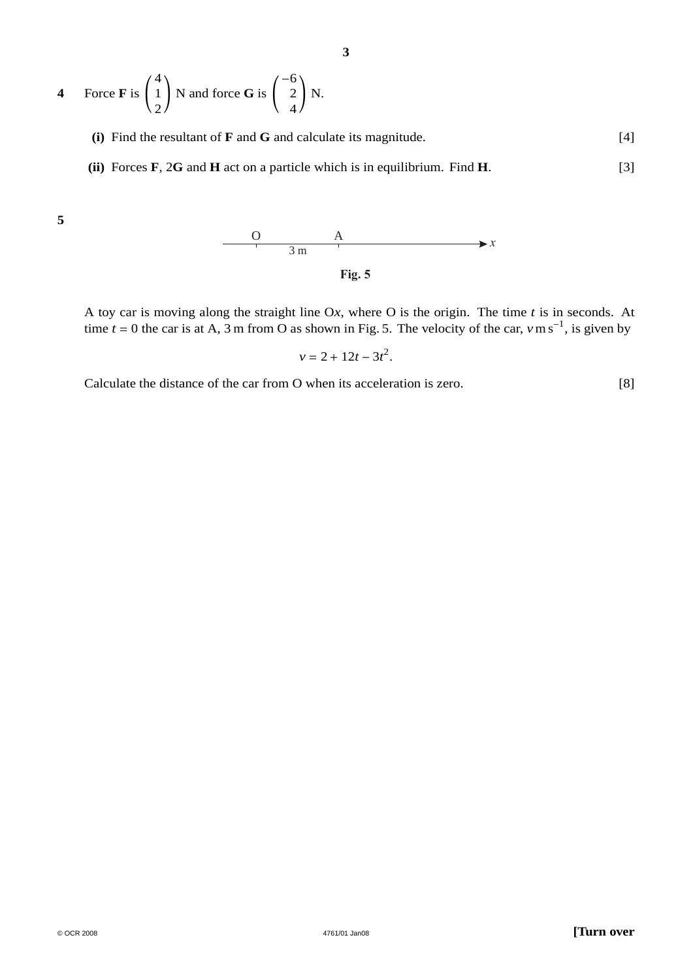4 Force **F** is 
$$
\begin{pmatrix} 4 \\ 1 \\ 2 \end{pmatrix}
$$
 N and force **G** is  $\begin{pmatrix} -6 \\ 2 \\ 4 \end{pmatrix}$  N.

- **(i)** Find the resultant of **F** and **G** and calculate its magnitude. [4]
- **(ii)** Forces **F**, 2**G** and **H** act on a particle which is in equilibrium. Find **H**. [3]

**5**



A toy car is moving along the straight line O*x*, where O is the origin. The time *t* is in seconds. At time  $t = 0$  the car is at A, 3 m from O as shown in Fig. 5. The velocity of the car,  $v \text{ m s}^{-1}$ , is given by

$$
v = 2 + 12t - 3t^2.
$$

Calculate the distance of the car from O when its acceleration is zero. [8]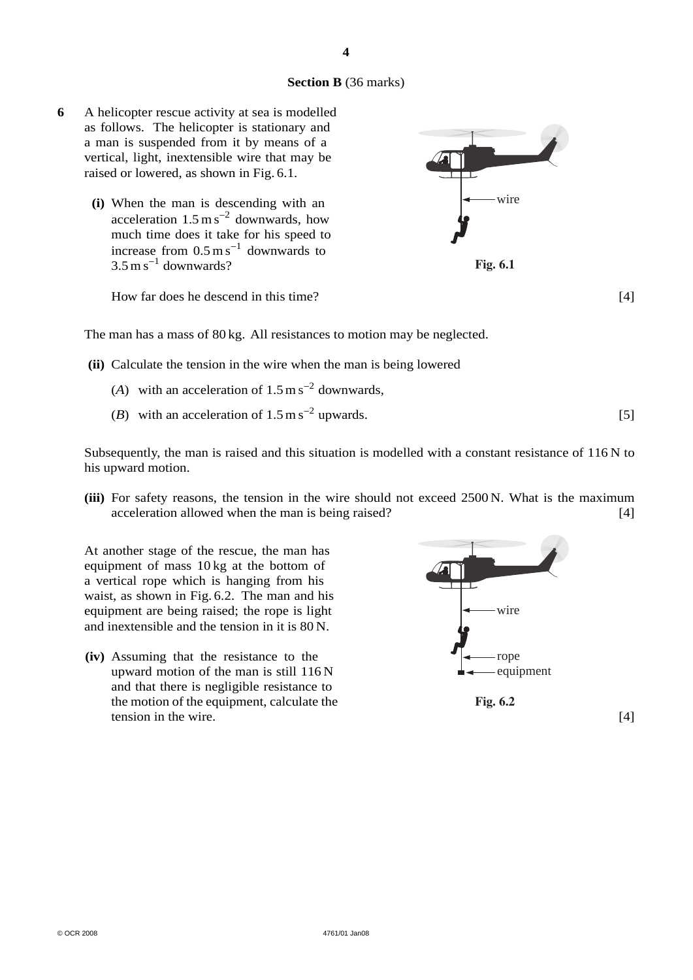#### **Section B** (36 marks)

- **6** A helicopter rescue activity at sea is modelled as follows. The helicopter is stationary and a man is suspended from it by means of a vertical, light, inextensible wire that may be raised or lowered, as shown in Fig. 6.1.
	- **(i)** When the man is descending with an acceleration  $1.5 \text{ m s}^{-2}$  downwards, how much time does it take for his speed to increase from  $0.5 \text{ m s}^{-1}$  downwards to  $3.5 \text{ m s}^{-1}$  downwards?





How far does he descend in this time?

The man has a mass of 80 kg. All resistances to motion may be neglected.

- **(ii)** Calculate the tension in the wire when the man is being lowered
	- (*A*) with an acceleration of  $1.5 \text{ m s}^{-2}$  downwards,
	- (*B*) with an acceleration of  $1.5 \text{ m s}^{-2}$  upwards. [5]

Subsequently, the man is raised and this situation is modelled with a constant resistance of 116 N to his upward motion.

**(iii)** For safety reasons, the tension in the wire should not exceed 2500 N. What is the maximum acceleration allowed when the man is being raised? [4]

At another stage of the rescue, the man has equipment of mass 10 kg at the bottom of a vertical rope which is hanging from his waist, as shown in Fig. 6.2. The man and his equipment are being raised; the rope is light and inextensible and the tension in it is 80 N.

**(iv)** Assuming that the resistance to the upward motion of the man is still 116 N and that there is negligible resistance to the motion of the equipment, calculate the tension in the wire.



[4]

[4]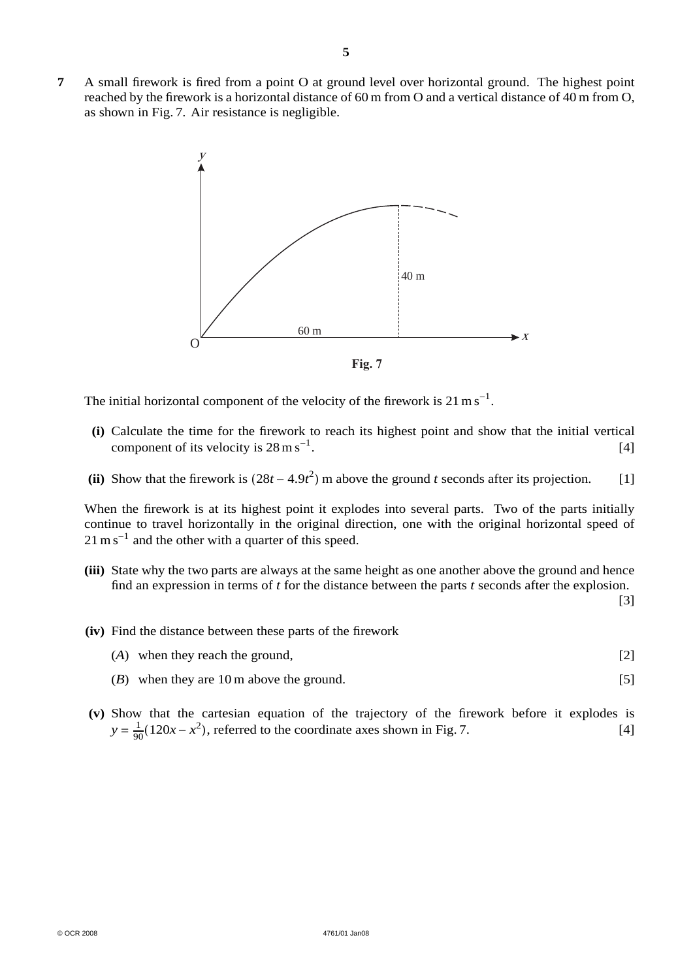**7** A small firework is fired from a point O at ground level over horizontal ground. The highest point reached by the firework is a horizontal distance of 60 m from O and a vertical distance of 40 m from O, as shown in Fig. 7. Air resistance is negligible.



The initial horizontal component of the velocity of the firework is  $21 \text{ m s}^{-1}$ .

- **(i)** Calculate the time for the firework to reach its highest point and show that the initial vertical component of its velocity is  $28 \text{ m s}^{-1}$ . .  $[4]$
- (ii) Show that the firework is  $(28t 4.9t^2)$  m above the ground *t* seconds after its projection. [1]

When the firework is at its highest point it explodes into several parts. Two of the parts initially continue to travel horizontally in the original direction, one with the original horizontal speed of  $21 \text{ m s}^{-1}$  and the other with a quarter of this speed.

**(iii)** State why the two parts are always at the same height as one another above the ground and hence find an expression in terms of *t* for the distance between the parts *t* seconds after the explosion.

[3]

**(iv)** Find the distance between these parts of the firework

| $(A)$ when they reach the ground, |  |
|-----------------------------------|--|
|                                   |  |

- (*B*) when they are 10 m above the ground. [5]
- **(v)** Show that the cartesian equation of the trajectory of the firework before it explodes is  $y = \frac{1}{90}(120x - x^2)$ , referred to the coordinate axes shown in Fig. 7. [4]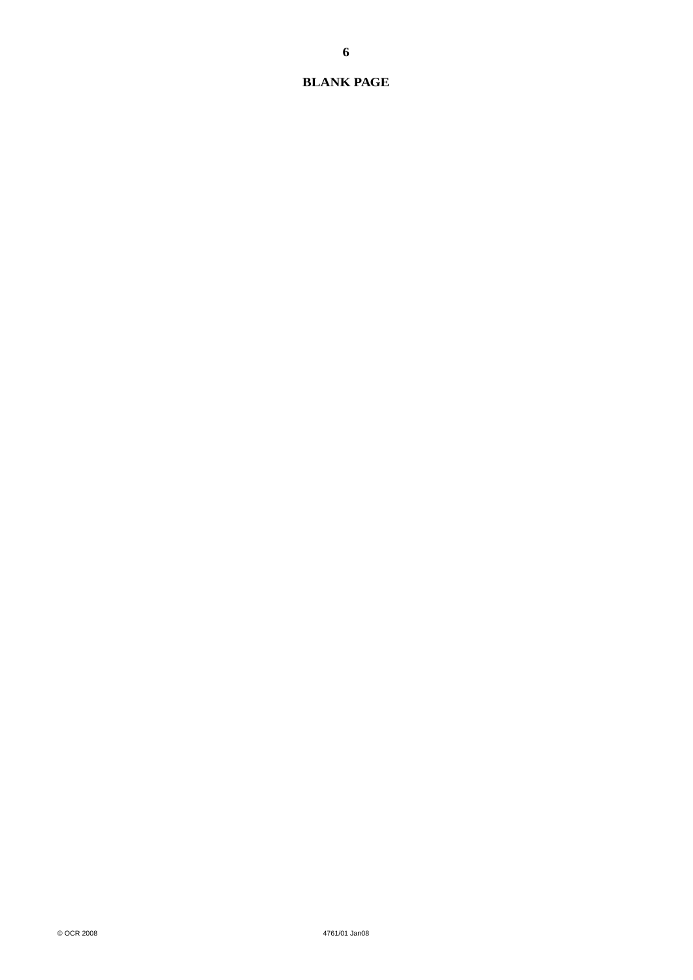# **BLANK PAGE**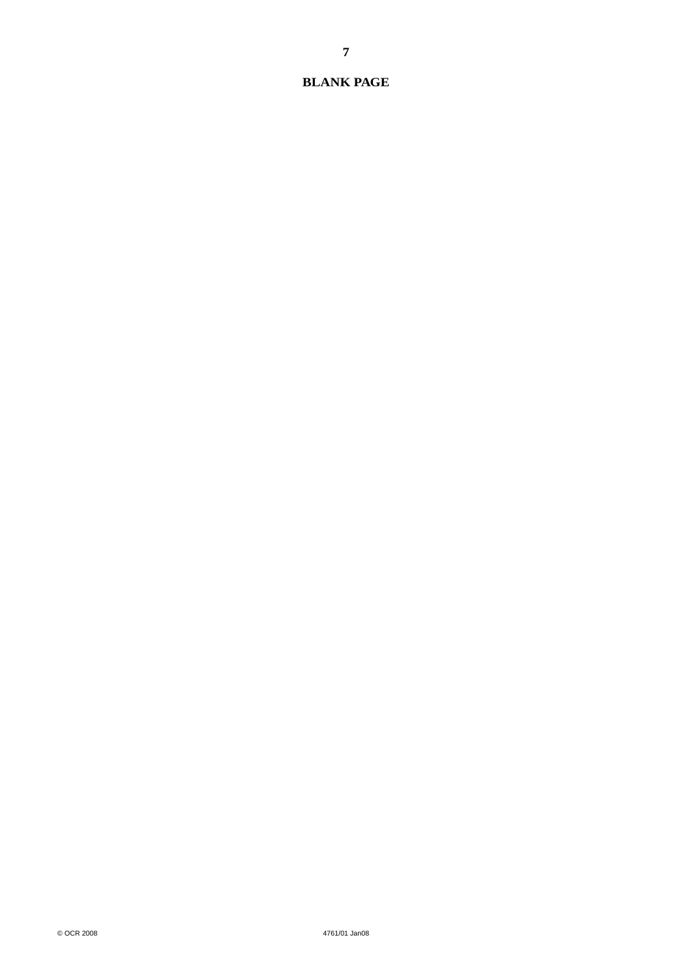# **BLANK PAGE**